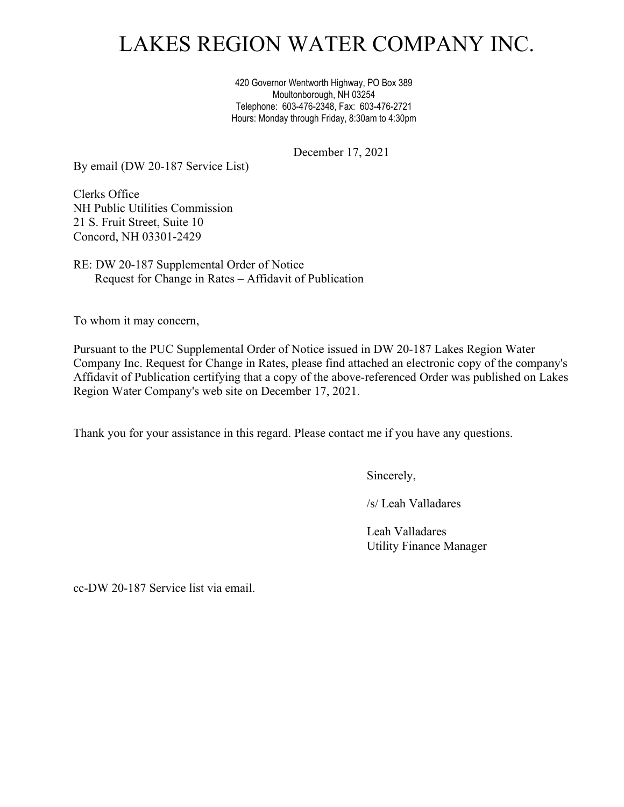# LAKES REGION WATER COMPANY INC.

420 Governor Wentworth Highway, PO Box 389 Moultonborough, NH 03254 Telephone: 603-476-2348, Fax: 603-476-2721 Hours: Monday through Friday, 8:30am to 4:30pm

December 17, 2021

By email (DW 20-187 Service List)

Clerks Office NH Public Utilities Commission 21 S. Fruit Street, Suite 10 Concord, NH 03301-2429

RE: DW 20-187 Supplemental Order of Notice Request for Change in Rates – Affidavit of Publication

To whom it may concern,

Pursuant to the PUC Supplemental Order of Notice issued in DW 20-187 Lakes Region Water Company Inc. Request for Change in Rates, please find attached an electronic copy of the company's Affidavit of Publication certifying that a copy of the above-referenced Order was published on Lakes Region Water Company's web site on December 17, 2021.

Thank you for your assistance in this regard. Please contact me if you have any questions.

Sincerely,

/s/ Leah Valladares

Leah Valladares Utility Finance Manager

cc-DW 20-187 Service list via email.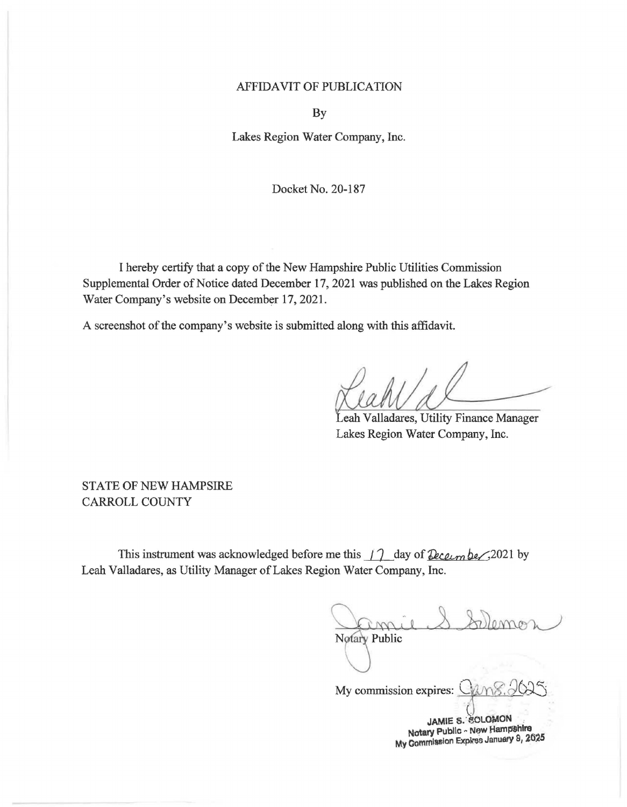### **AFFIDAVIT OF PUBLICATION**

By

Lakes Region Water Company, Inc.

Docket No. 20-187

I hereby certify that a copy of the New Hampshire Public Utilities Commission Supplemental Order of Notice dated December 17, 2021 was published on the Lakes Region Water Company's website on December 17, 2021.

A screenshot of the company's website is submitted along with this affidavit.

eah Valladares, Utility Finance Manager Lakes Region Water Company, Inc.

**STATE OF NEW HAMPSIRE CARROLL COUNTY** 

This instrument was acknowledged before me this  $\int$  day of *December*, 2021 by Leah Valladares, as Utility Manager of Lakes Region Water Company, Inc.

Notary Public

My commission expires:

JAMIE S. SOLOMON Notary Public - New Hampshire My Commission Expires January 8, 2025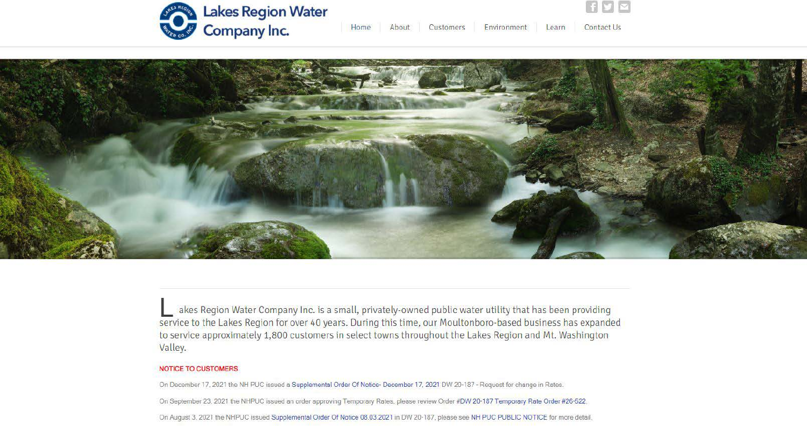

 $\mathbf{f}[\mathbf{y}]\mathbf{x}$ 



akes Region Water Company Inc. is a small, privately-owned public water utility that has been providing service to the Lakes Region for over 40 years. During this time, our Moultonboro-based business has expanded to service approximately 1,800 customers in select towns throughout the Lakes Region and Mt. Washington Valley.

### NOTICE TO CUSTOMERS

On December 17. 2021 the NH PUC issued a Supplemental Order Of Notice· December 17. 2021 OW 20-187- Request for change in Rates. On September 23. 2021 the NHPUC issued an order approving Temporary Rates. please review Order #OW 20· 187 Temporary Rate Order #26-522. On August 3. 2021 the NHPUC issued Supplemental Order Of Notice 08.03.2021 in OW 20-187. please see NH PUC PUBLIC NOTICE for more detail.